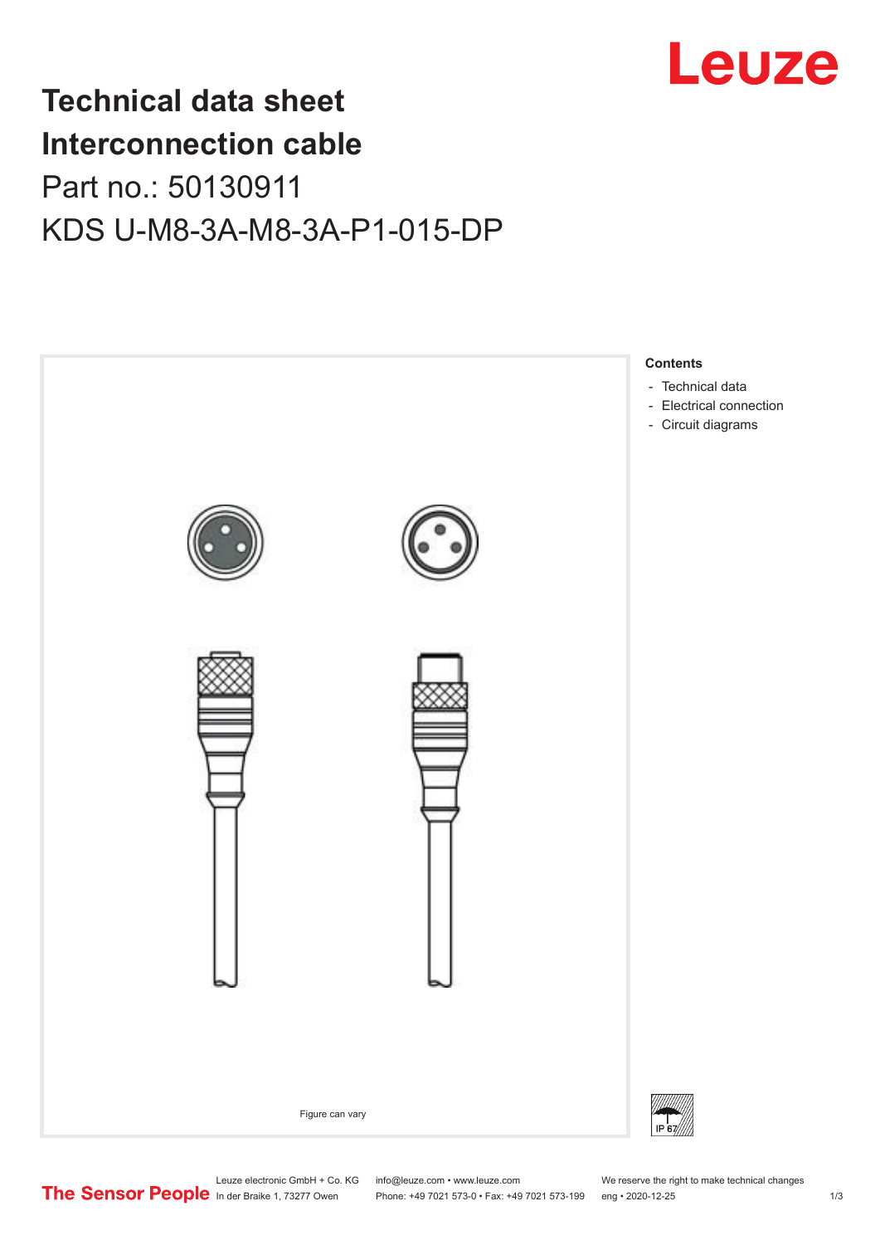

## **Technical data sheet Interconnection cable** Part no.: 50130911 KDS U-M8-3A-M8-3A-P1-015-DP



Leuze electronic GmbH + Co. KG info@leuze.com • www.leuze.com We reserve the right to make technical changes<br>
The Sensor People in der Braike 1, 73277 Owen Phone: +49 7021 573-0 • Fax: +49 7021 573-199 eng • 2020-12-25

Phone: +49 7021 573-0 • Fax: +49 7021 573-199 eng • 2020-12-25 1 2020-12-25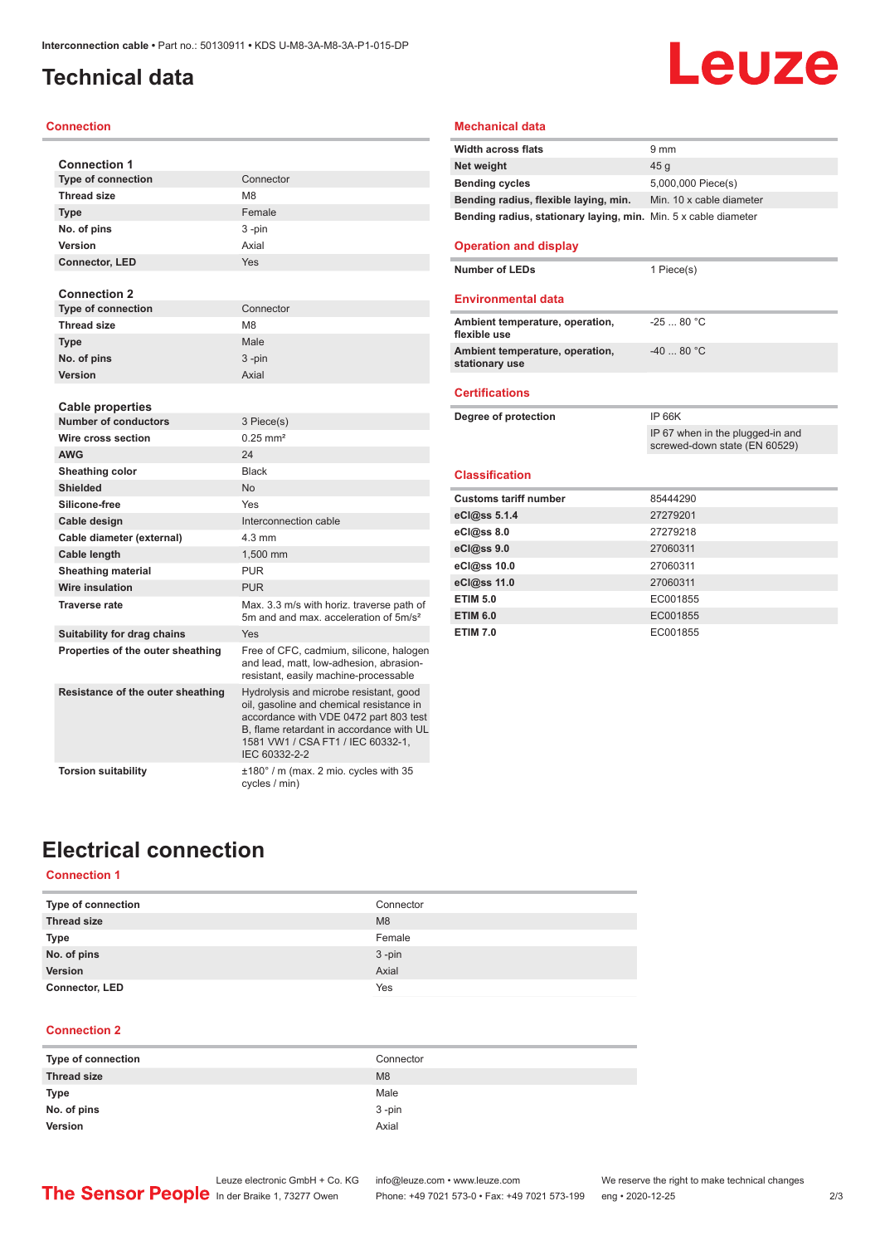## <span id="page-1-0"></span>**Technical data**

#### **Connection**

| <b>Connection 1</b>               |                                                                                                                                                                                                                                |
|-----------------------------------|--------------------------------------------------------------------------------------------------------------------------------------------------------------------------------------------------------------------------------|
| <b>Type of connection</b>         | Connector                                                                                                                                                                                                                      |
| <b>Thread size</b>                | M <sub>8</sub>                                                                                                                                                                                                                 |
| <b>Type</b>                       | Female                                                                                                                                                                                                                         |
| No. of pins                       | 3-pin                                                                                                                                                                                                                          |
| Version                           | Axial                                                                                                                                                                                                                          |
| <b>Connector, LED</b>             | Yes                                                                                                                                                                                                                            |
| <b>Connection 2</b>               |                                                                                                                                                                                                                                |
| <b>Type of connection</b>         | Connector                                                                                                                                                                                                                      |
| <b>Thread size</b>                | M <sub>8</sub>                                                                                                                                                                                                                 |
| <b>Type</b>                       | Male                                                                                                                                                                                                                           |
| No. of pins                       | $3 - pin$                                                                                                                                                                                                                      |
| Version                           | Axial                                                                                                                                                                                                                          |
| <b>Cable properties</b>           |                                                                                                                                                                                                                                |
| <b>Number of conductors</b>       | 3 Piece(s)                                                                                                                                                                                                                     |
| Wire cross section                | $0.25$ mm <sup>2</sup>                                                                                                                                                                                                         |
| <b>AWG</b>                        | 24                                                                                                                                                                                                                             |
| Sheathing color                   | <b>Black</b>                                                                                                                                                                                                                   |
| <b>Shielded</b>                   | <b>No</b>                                                                                                                                                                                                                      |
| Silicone-free                     | Yes                                                                                                                                                                                                                            |
| Cable design                      | Interconnection cable                                                                                                                                                                                                          |
| Cable diameter (external)         | $4.3 \text{ mm}$                                                                                                                                                                                                               |
| Cable length                      | 1.500 mm                                                                                                                                                                                                                       |
| <b>Sheathing material</b>         | <b>PUR</b>                                                                                                                                                                                                                     |
| <b>Wire insulation</b>            | <b>PUR</b>                                                                                                                                                                                                                     |
| <b>Traverse rate</b>              | Max. 3.3 m/s with horiz. traverse path of<br>5m and and max, acceleration of 5m/s <sup>2</sup>                                                                                                                                 |
| Suitability for drag chains       | Yes                                                                                                                                                                                                                            |
| Properties of the outer sheathing | Free of CFC, cadmium, silicone, halogen<br>and lead, matt, low-adhesion, abrasion-<br>resistant, easily machine-processable                                                                                                    |
| Resistance of the outer sheathing | Hydrolysis and microbe resistant, good<br>oil, gasoline and chemical resistance in<br>accordance with VDE 0472 part 803 test<br>B, flame retardant in accordance with UL<br>1581 VW1 / CSA FT1 / IEC 60332-1,<br>IEC 60332-2-2 |
| <b>Torsion suitability</b>        | ±180° / m (max. 2 mio. cycles with 35<br>cycles / min)                                                                                                                                                                         |

## Leuze

#### **Mechanical data**

| <b>Width across flats</b>                                       | $9 \text{ mm}$           |
|-----------------------------------------------------------------|--------------------------|
| Net weight                                                      | 45 a                     |
| <b>Bending cycles</b>                                           | 5,000,000 Piece(s)       |
| Bending radius, flexible laying, min.                           | Min. 10 x cable diameter |
| Bending radius, stationary laying, min. Min. 5 x cable diameter |                          |
|                                                                 |                          |

#### **Operation and display**

**Number of LEDs** 1 Piece(s)

#### **Environmental data**

| Ambient temperature, operation,<br>flexible use   | $-2580 °C$ |
|---------------------------------------------------|------------|
| Ambient temperature, operation,<br>stationary use | $-4080 °C$ |

#### **Certifications**

| Degree of protection         | <b>IP 66K</b>                                                     |  |
|------------------------------|-------------------------------------------------------------------|--|
|                              | IP 67 when in the plugged-in and<br>screwed-down state (EN 60529) |  |
| <b>Classification</b>        |                                                                   |  |
|                              |                                                                   |  |
| <b>Customs tariff number</b> | 85444290                                                          |  |
| eCl@ss 5.1.4                 | 27279201                                                          |  |
| $eC/\omega$ ss 8.0           | 27279218                                                          |  |
| eC <sub>1</sub> @ss9.0       | 27060311                                                          |  |
| eCl@ss 10.0                  | 27060311                                                          |  |
| eCl@ss 11.0                  | 27060311                                                          |  |
| <b>ETIM 5.0</b>              | EC001855                                                          |  |
| <b>ETIM 6.0</b>              | EC001855                                                          |  |

**ETIM 7.0** EC001855

## **Electrical connection**

#### **Connection 1**

| Type of connection    | Connector      |
|-----------------------|----------------|
| <b>Thread size</b>    | M <sub>8</sub> |
| <b>Type</b>           | Female         |
| No. of pins           | $3 - pin$      |
| Version               | Axial          |
| <b>Connector, LED</b> | Yes            |

#### **Connection 2**

| Type of connection | Connector      |
|--------------------|----------------|
| <b>Thread size</b> | M <sub>8</sub> |
| Type               | Male           |
| No. of pins        | $3 - pin$      |
| Version            | Axial          |